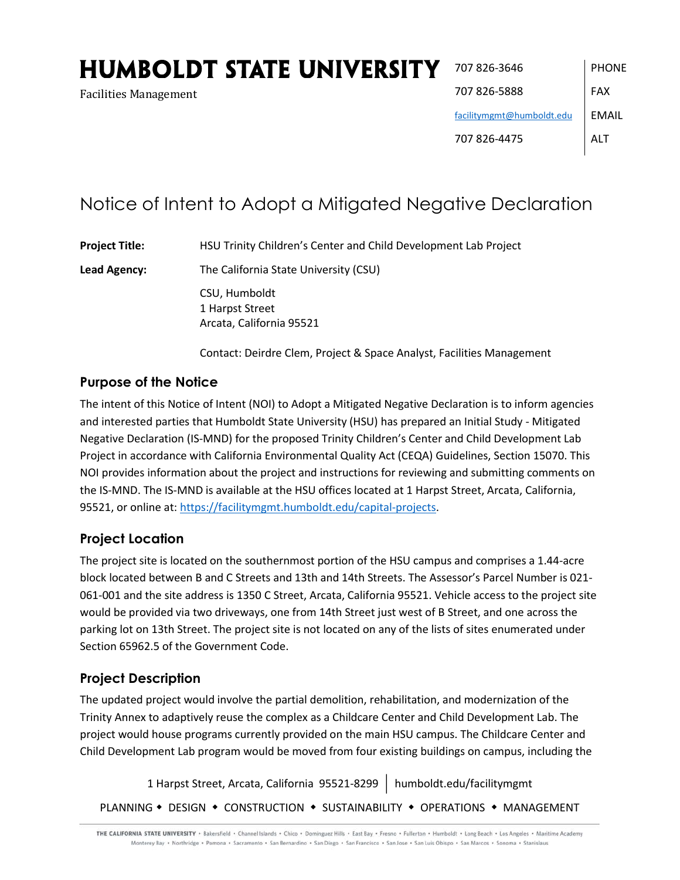# **HUMBOLDT STATE UNIVERSITY**

Arcata, California 95521

Facilities Management

# Notice of Intent to Adopt a Mitigated Negative Declaration

**Project Title:** HSU Trinity Children's Center and Child Development Lab Project **Lead Agency:** The California State University (CSU) CSU, Humboldt 1 Harpst Street

Contact: Deirdre Clem, Project & Space Analyst, Facilities Management

# **Purpose of the Notice**

The intent of this Notice of Intent (NOI) to Adopt a Mitigated Negative Declaration is to inform agencies and interested parties that Humboldt State University (HSU) has prepared an Initial Study - Mitigated Negative Declaration (IS-MND) for the proposed Trinity Children's Center and Child Development Lab Project in accordance with California Environmental Quality Act (CEQA) Guidelines, Section 15070. This NOI provides information about the project and instructions for reviewing and submitting comments on the IS-MND. The IS-MND is available at the HSU offices located at 1 Harpst Street, Arcata, California, 95521, or online at: https://facilitymgmt.humboldt.edu/capital-projects.

# **Project Location**

The project site is located on the southernmost portion of the HSU campus and comprises a 1.44-acre block located between B and C Streets and 13th and 14th Streets. The Assessor's Parcel Number is 021- 061-001 and the site address is 1350 C Street, Arcata, California 95521. Vehicle access to the project site would be provided via two driveways, one from 14th Street just west of B Street, and one across the parking lot on 13th Street. The project site is not located on any of the lists of sites enumerated under Section 65962.5 of the Government Code.

# **Project Description**

The updated project would involve the partial demolition, rehabilitation, and modernization of the Trinity Annex to adaptively reuse the complex as a Childcare Center and Child Development Lab. The project would house programs currently provided on the main HSU campus. The Childcare Center and Child Development Lab program would be moved from four existing buildings on campus, including the

1 Harpst Street, Arcata, California 95521-8299 | humboldt.edu/facilitymgmt PLANNING . DESIGN . CONSTRUCTION . SUSTAINABILITY . OPERATIONS . MANAGEMENT

THE CALIFORNIA STATE UNIVERSITY . Bakersfield . Channel Islands . Chico . Dominguez Hills . East Bay . Fresno . Fullerton . Humboldt . Long Beach . Los Angeles . Maritime Academy Monterey Bay + Northridge + Pomona + Sacramento + San Bernardino + San Diego + San Francisco + San Jose + San Luis Obispo + San Marcos + Sonoma + Stanislaus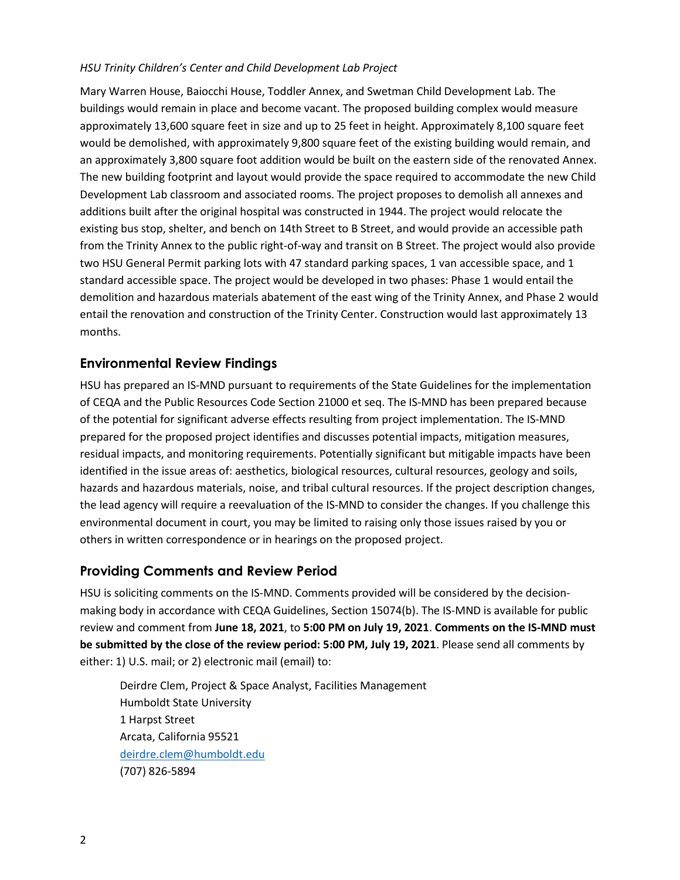#### *HSU Trinity Children's Center and Child Development Lab Project*

Mary Warren House, Baiocchi House, Toddler Annex, and Swetman Child Development Lab. The buildings would remain in place and become vacant. The proposed building complex would measure approximately 13,600 square feet in size and up to 25 feet in height. Approximately 8,100 square feet would be demolished, with approximately 9,800 square feet of the existing building would remain, and an approximately 3,800 square foot addition would be built on the eastern side of the renovated Annex. The new building footprint and layout would provide the space required to accommodate the new Child Development Lab classroom and associated rooms. The project proposes to demolish all annexes and additions built after the original hospital was constructed in 1944. The project would relocate the existing bus stop, shelter, and bench on 14th Street to B Street, and would provide an accessible path from the Trinity Annex to the public right-of-way and transit on B Street. The project would also provide two HSU General Permit parking lots with 47 standard parking spaces, 1 van accessible space, and 1 standard accessible space. The project would be developed in two phases: Phase 1 would entail the demolition and hazardous materials abatement of the east wing of the Trinity Annex, and Phase 2 would entail the renovation and construction of the Trinity Center. Construction would last approximately 13 months.

#### **Environmental Review Findings**

HSU has prepared an IS-MND pursuant to requirements of the State Guidelines for the implementation of CEQA and the Public Resources Code Section 21000 et seq. The IS-MND has been prepared because of the potential for significant adverse effects resulting from project implementation. The IS-MND prepared for the proposed project identifies and discusses potential impacts, mitigation measures, residual impacts, and monitoring requirements. Potentially significant but mitigable impacts have been identified in the issue areas of: aesthetics, biological resources, cultural resources, geology and soils, hazards and hazardous materials, noise, and tribal cultural resources. If the project description changes, the lead agency will require a reevaluation of the IS-MND to consider the changes. If you challenge this environmental document in court, you may be limited to raising only those issues raised by you or others in written correspondence or in hearings on the proposed project.

# **Providing Comments and Review Period**

HSU is soliciting comments on the IS-MND. Comments provided will be considered by the decisionmaking body in accordance with CEQA Guidelines, Section 15074(b). The IS-MND is available for public review and comment from **June 18, 2021**, to **5:00 PM on July 19, 2021**. **Comments on the IS-MND must be submitted by the close of the review period: 5:00 PM, July 19, 2021**. Please send all comments by either: 1) U.S. mail; or 2) electronic mail (email) to:

Deirdre Clem, Project & Space Analyst, Facilities Management Humboldt State University 1 Harpst Street Arcata, California 95521 deirdre.clem@humboldt.edu (707) 826-5894